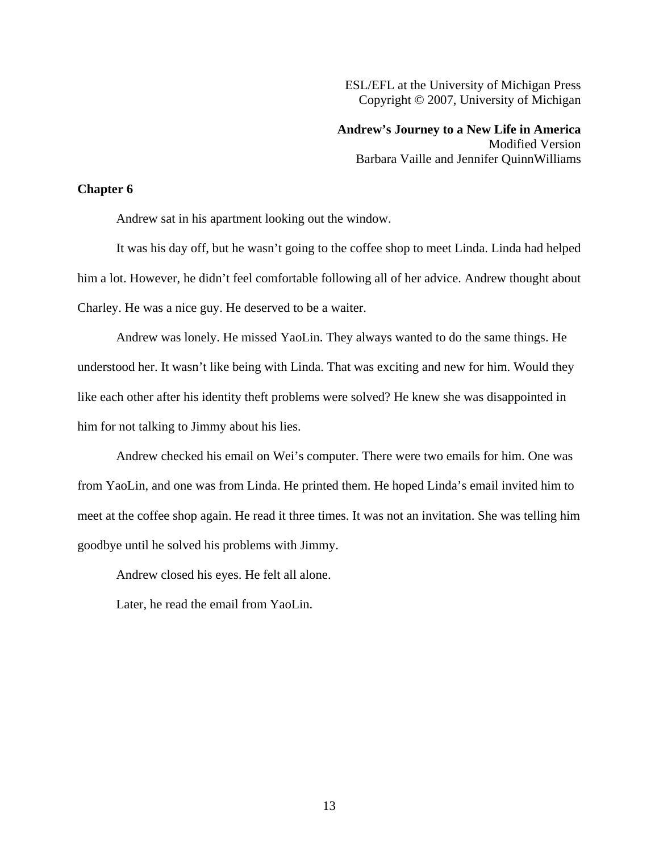ESL/EFL at the University of Michigan Press Copyright © 2007, University of Michigan

**Andrew's Journey to a New Life in America**  Modified Version Barbara Vaille and Jennifer QuinnWilliams

## **Chapter 6**

Andrew sat in his apartment looking out the window.

It was his day off, but he wasn't going to the coffee shop to meet Linda. Linda had helped him a lot. However, he didn't feel comfortable following all of her advice. Andrew thought about Charley. He was a nice guy. He deserved to be a waiter.

Andrew was lonely. He missed YaoLin. They always wanted to do the same things. He understood her. It wasn't like being with Linda. That was exciting and new for him. Would they like each other after his identity theft problems were solved? He knew she was disappointed in him for not talking to Jimmy about his lies.

Andrew checked his email on Wei's computer. There were two emails for him. One was from YaoLin, and one was from Linda. He printed them. He hoped Linda's email invited him to meet at the coffee shop again. He read it three times. It was not an invitation. She was telling him goodbye until he solved his problems with Jimmy.

Andrew closed his eyes. He felt all alone.

Later, he read the email from YaoLin.